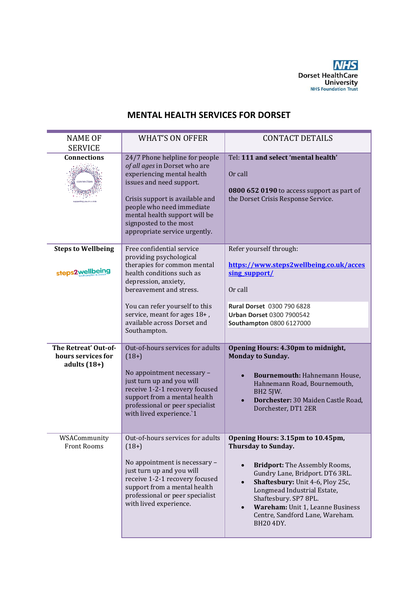

| <b>NAME OF</b><br><b>SERVICE</b>                             | <b>WHAT'S ON OFFER</b>                                                                                                                                                                                                                                                                | <b>CONTACT DETAILS</b>                                                                                                                                                                                                                                                                                                                        |
|--------------------------------------------------------------|---------------------------------------------------------------------------------------------------------------------------------------------------------------------------------------------------------------------------------------------------------------------------------------|-----------------------------------------------------------------------------------------------------------------------------------------------------------------------------------------------------------------------------------------------------------------------------------------------------------------------------------------------|
| <b>Connections</b><br>connection                             | 24/7 Phone helpline for people<br>of all ages in Dorset who are<br>experiencing mental health<br>issues and need support.<br>Crisis support is available and<br>people who need immediate<br>mental health support will be<br>signposted to the most<br>appropriate service urgently. | Tel: 111 and select 'mental health'<br>Or call<br>0800 652 0190 to access support as part of<br>the Dorset Crisis Response Service.                                                                                                                                                                                                           |
| <b>Steps to Wellbeing</b><br>steps2wellbeing                 | Free confidential service<br>providing psychological<br>therapies for common mental<br>health conditions such as<br>depression, anxiety,<br>bereavement and stress.<br>You can refer yourself to this<br>service, meant for ages 18+,<br>available across Dorset and<br>Southampton.  | Refer yourself through:<br>https://www.steps2wellbeing.co.uk/acces<br>sing support/<br>Or call<br>Rural Dorset 0300 790 6828<br><b>Urban Dorset 0300 7900542</b><br>Southampton 0800 6127000                                                                                                                                                  |
| The Retreat' Out-of-<br>hours services for<br>adults $(18+)$ | Out-of-hours services for adults<br>$(18+)$<br>No appointment necessary -<br>just turn up and you will<br>receive 1-2-1 recovery focused<br>support from a mental health<br>professional or peer specialist<br>with lived experience.'1                                               | <b>Opening Hours: 4.30pm to midnight,</b><br><b>Monday to Sunday.</b><br>Bournemouth: Hahnemann House,<br>Hahnemann Road, Bournemouth,<br><b>BH2 5JW.</b><br>Dorchester: 30 Maiden Castle Road,<br>Dorchester, DT1 2ER                                                                                                                        |
| WSACommunity<br><b>Front Rooms</b>                           | Out-of-hours services for adults<br>$(18+)$<br>No appointment is necessary -<br>just turn up and you will<br>receive 1-2-1 recovery focused<br>support from a mental health<br>professional or peer specialist<br>with lived experience.                                              | Opening Hours: 3.15pm to 10.45pm,<br>Thursday to Sunday.<br><b>Bridport:</b> The Assembly Rooms,<br>Gundry Lane, Bridport. DT6 3RL.<br>Shaftesbury: Unit 4-6, Ploy 25c,<br>$\bullet$<br>Longmead Industrial Estate,<br>Shaftesbury. SP7 8PL.<br>Wareham: Unit 1, Leanne Business<br>$\bullet$<br>Centre, Sandford Lane, Wareham.<br>BH20 4DY. |

## **MENTAL HEALTH SERVICES FOR DORSET**